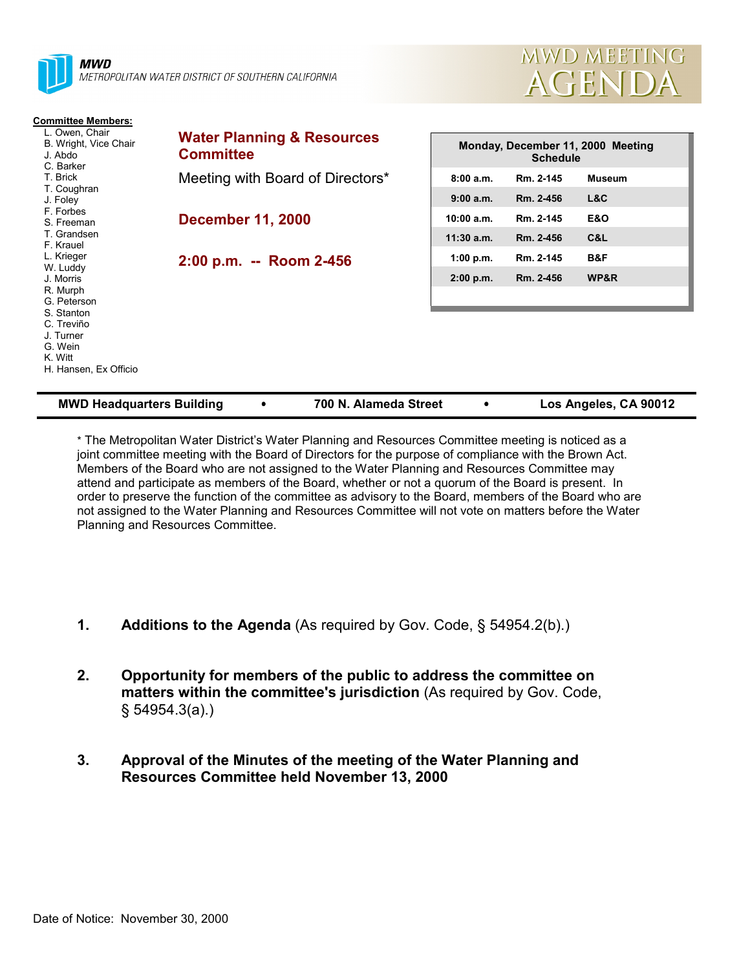

| <b>MWD Headquarters Building</b> | 700 N. Alameda Street | Los Angeles, CA 90012 |
|----------------------------------|-----------------------|-----------------------|
|                                  |                       |                       |

\* The Metropolitan Water District's Water Planning and Resources Committee meeting is noticed as a joint committee meeting with the Board of Directors for the purpose of compliance with the Brown Act. Members of the Board who are not assigned to the Water Planning and Resources Committee may attend and participate as members of the Board, whether or not a quorum of the Board is present. In order to preserve the function of the committee as advisory to the Board, members of the Board who are not assigned to the Water Planning and Resources Committee will not vote on matters before the Water Planning and Resources Committee.

- **1. Additions to the Agenda** (As required by Gov. Code, § 54954.2(b).)
- **2. Opportunity for members of the public to address the committee on matters within the committee's jurisdiction** (As required by Gov. Code, § 54954.3(a).)
- **3. Approval of the Minutes of the meeting of the Water Planning and Resources Committee held November 13, 2000**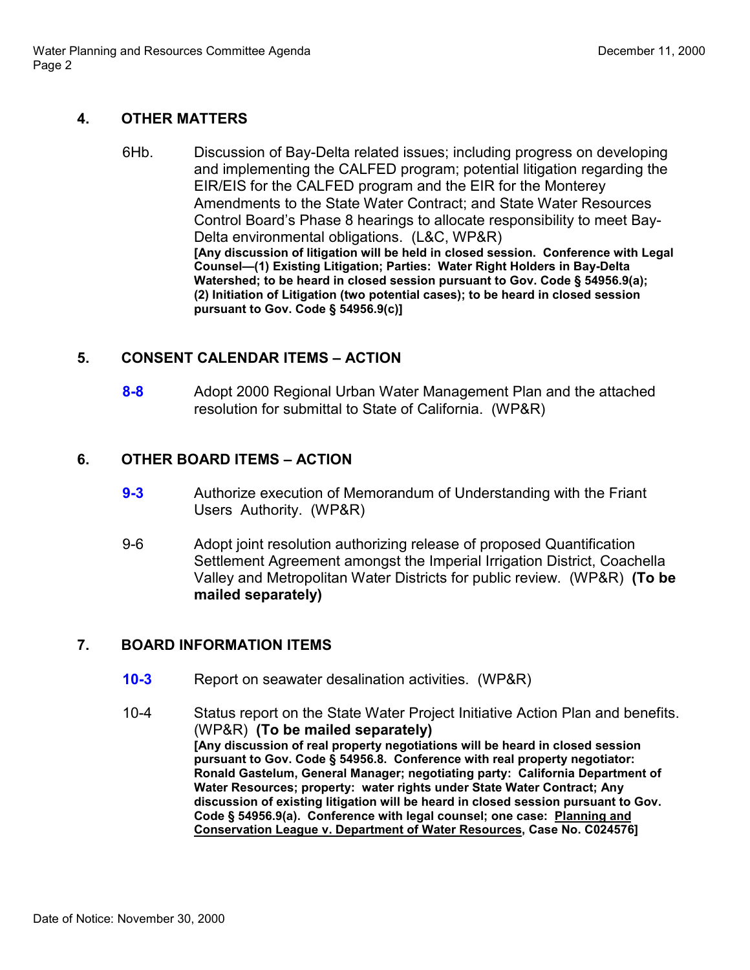## **4. OTHER MATTERS**

6Hb. Discussion of Bay-Delta related issues; including progress on developing and implementing the CALFED program; potential litigation regarding the EIR/EIS for the CALFED program and the EIR for the Monterey Amendments to the State Water Contract; and State Water Resources Control Board's Phase 8 hearings to allocate responsibility to meet Bay-Delta environmental obligations. (L&C, WP&R) **[Any discussion of litigation will be held in closed session. Conference with Legal Counsel—(1) Existing Litigation; Parties: Water Right Holders in Bay-Delta Watershed; to be heard in closed session pursuant to Gov. Code § 54956.9(a); (2) Initiation of Litigation (two potential cases); to be heard in closed session pursuant to Gov. Code § 54956.9(c)]**

### **5. CONSENT CALENDAR ITEMS – ACTION**

**8-8** Adopt 2000 Regional Urban Water Management Plan and the attached resolution for submittal to State of California. (WP&R)

## **6. OTHER BOARD ITEMS – ACTION**

- **9-3** Authorize execution of Memorandum of Understanding with the Friant Users Authority. (WP&R)
- 9-6 Adopt joint resolution authorizing release of proposed Quantification Settlement Agreement amongst the Imperial Irrigation District, Coachella Valley and Metropolitan Water Districts for public review. (WP&R) **(To be mailed separately)**

# **7. BOARD INFORMATION ITEMS**

- **10-3** Report on seawater desalination activities. (WP&R)
- 10-4 Status report on the State Water Project Initiative Action Plan and benefits. (WP&R) **(To be mailed separately) [Any discussion of real property negotiations will be heard in closed session pursuant to Gov. Code § 54956.8. Conference with real property negotiator: Ronald Gastelum, General Manager; negotiating party: California Department of Water Resources; property: water rights under State Water Contract; Any discussion of existing litigation will be heard in closed session pursuant to Gov. Code § 54956.9(a). Conference with legal counsel; one case: Planning and Conservation League v. Department of Water Resources, Case No. C024576]**